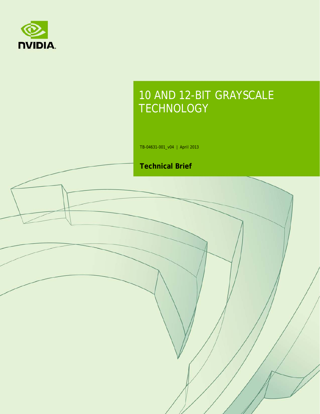

# 10 AND 12-BIT GRAYSCALE **TECHNOLOGY**

TB-04631-001\_v04 | April 2013

### **Technical Brief**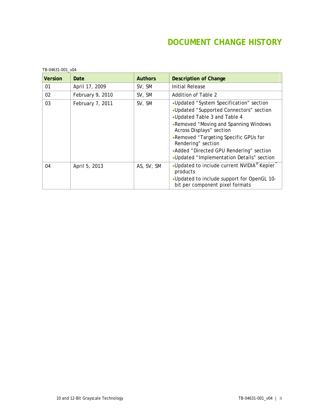### **DOCUMENT CHANGE HISTORY**

| <b>Version</b> | Date             | <b>Authors</b> | <b>Description of Change</b>                                                                                                                                                                                                                                                                                                                    |
|----------------|------------------|----------------|-------------------------------------------------------------------------------------------------------------------------------------------------------------------------------------------------------------------------------------------------------------------------------------------------------------------------------------------------|
| 01             | April 17, 2009   | SV, SM         | <b>Initial Release</b>                                                                                                                                                                                                                                                                                                                          |
| 02             | February 9, 2010 | SV, SM         | Addition of Table 2                                                                                                                                                                                                                                                                                                                             |
| 03             | February 7, 2011 | SV, SM         | •Updated "System Specification" section<br>•Updated "Supported Connectors" section<br>• Updated Table 3 and Table 4<br>•Removed "Moving and Spanning Windows<br>Across Displays" section<br>•Removed "Targeting Specific GPUs for<br>Rendering" section<br>•Added "Directed GPU Rendering" section<br>•Updated "Implementation Details" section |
| 04             | April 5, 2013    | AS, SV, SM     | •Updated to include current NVIDIA <sup>®</sup> Kepler <sup>™</sup><br>products<br>.Updated to include support for OpenGL 10-<br>bit per component pixel formats                                                                                                                                                                                |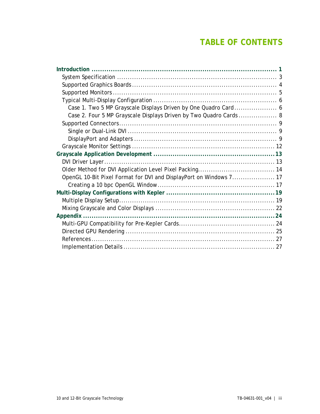### **TABLE OF CONTENTS**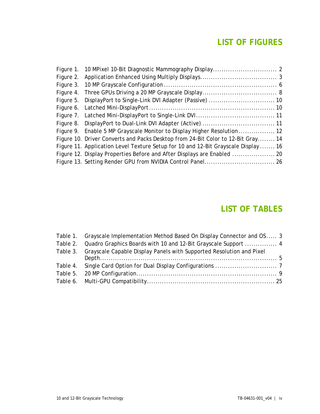### **LIST OF FIGURES**

|  | Figure 9. Enable 5 MP Grayscale Monitor to Display Higher Resolution  12           |  |
|--|------------------------------------------------------------------------------------|--|
|  | Figure 10. Driver Converts and Packs Desktop from 24-Bit Color to 12-Bit Gray 14   |  |
|  | Figure 11. Application Level Texture Setup for 10 and 12-Bit Grayscale Display  16 |  |
|  | Figure 12. Display Properties Before and After Displays are Enabled  20            |  |
|  |                                                                                    |  |

### **LIST OF TABLES**

| Table 1. Grayscale Implementation Method Based On Display Connector and OS 3  |  |
|-------------------------------------------------------------------------------|--|
| Table 2. Quadro Graphics Boards with 10 and 12-Bit Grayscale Support  4       |  |
| Table 3. Grayscale Capable Display Panels with Supported Resolution and Pixel |  |
|                                                                               |  |
|                                                                               |  |
|                                                                               |  |
|                                                                               |  |
|                                                                               |  |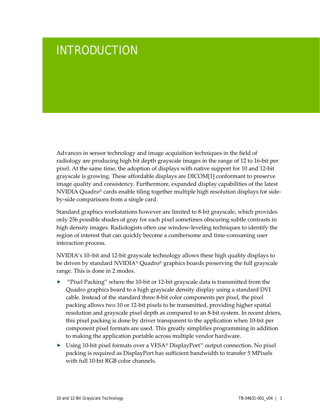# <span id="page-4-0"></span>INTRODUCTION

Advances in sensor technology and image acquisition techniques in the field of radiology are producing high bit depth grayscale images in the range of 12 to 16-bit per pixel. At the same time, the adoption of displays with native support for 10 and 12-bit grayscale is growing. These affordable displays are DICO[M\[1\]](#page-30-2) conformant to preserve image quality and consistency. Furthermore, expanded display capabilities of the latest NVIDIA Quadro® cards enable tiling together multiple high resolution displays for sideby-side comparisons from a single card.

Standard graphics workstations however are limited to 8-bit grayscale, which provides only 256 possible shades of gray for each pixel sometimes obscuring subtle contrasts in high density images. Radiologists often use window-leveling techniques to identify the region of interest that can quickly become a cumbersome and time-consuming user interaction process.

NVIDIA's 10–bit and 12-bit grayscale technology allows these high quality displays to be driven by standard NVIDIA® Quadro® graphics boards preserving the full grayscale range. This is done in 2 modes.

- "Pixel Packing" where the 10-bit or 12-bit grayscale data is transmitted from the Quadro graphics board to a high grayscale density display using a standard DVI cable. Instead of the standard three 8-bit color components per pixel, the pixel packing allows two 10 or 12-bit pixels to be transmitted, providing higher spatial resolution and grayscale pixel depth as compared to an 8-bit system. In recent driers, this pixel packing is done by driver transparent to the application when 10-bit per component pixel formats are used. This greatly simplifies programming in addition to making the application portable across multiple vendor hardware.
- ► Using 10-bit pixel formats over a VESA® DisplayPort™ output connection. No pixel packing is required as DisplayPort has sufficient bandwidth to transfer 5 MPixels with full 10-bit RGB color channels.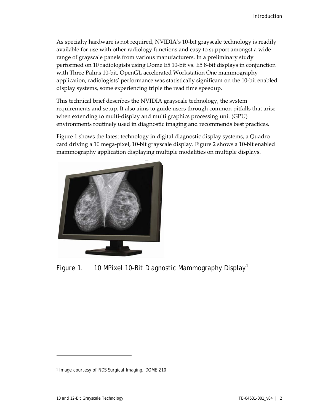As specialty hardware is not required, NVIDIA's 10-bit grayscale technology is readily available for use with other radiology functions and easy to support amongst a wide range of grayscale panels from various manufacturers. In a preliminary study performed on 10 radiologists using Dome E5 10-bit vs. E5 8-bit displays in conjunction with Three Palms 10-bit, OpenGL accelerated Workstation One mammography application, radiologists' performance was statistically significant on the 10-bit enabled display systems, some experiencing triple the read time speedup.

This technical brief describes the NVIDIA grayscale technology, the system requirements and setup. It also aims to guide users through common pitfalls that arise when extending to multi-display and multi graphics processing unit (GPU) environments routinely used in diagnostic imaging and recommends best practices.

Figure 1 shows the latest technology in digital diagnostic display systems, a Quadro card driving a 10 mega-pixel, 10-bit grayscale display. Figure 2 shows a 10-bit enabled mammography application displaying multiple modalities on multiple displays.



Figure [1](#page-5-1). 10 MPixel 10-Bit Diagnostic Mammography Display<sup>1</sup>

<span id="page-5-0"></span> $\overline{a}$ 

<span id="page-5-1"></span><sup>1</sup> Image courtesy of NDS Surgical Imaging, DOME Z10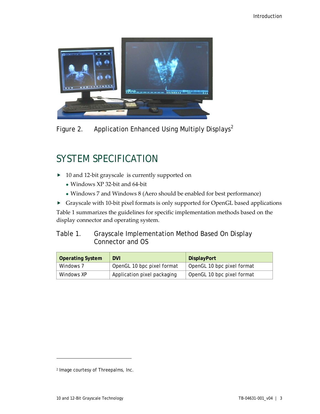

Figure [2](#page-6-3). Application Enhanced Using Multiply Displays<sup>2</sup>

# <span id="page-6-1"></span><span id="page-6-0"></span>SYSTEM SPECIFICATION

- ▶ 10 and 12-bit grayscale is currently supported on
	- Windows XP 32-bit and 64-bit
	- Windows 7 and Windows 8 (Aero should be enabled for best performance)
- Grayscale with 10-bit pixel formats is only supported for OpenGL based applications

Table 1 summarizes the guidelines for specific implementation methods based on the display connector and operating system.

<span id="page-6-2"></span>

| Table 1. | Grayscale Implementation Method Based On Display |
|----------|--------------------------------------------------|
|          | Connector and OS                                 |

| <b>Operating System</b> | <b>DVI</b>                  | <b>DisplayPort</b>         |
|-------------------------|-----------------------------|----------------------------|
| Windows 7               | OpenGL 10 bpc pixel format  | OpenGL 10 bpc pixel format |
| Windows XP              | Application pixel packaging | OpenGL 10 bpc pixel format |

 $\overline{a}$ 

<span id="page-6-3"></span><sup>2</sup> Image courtesy of Threepalms, Inc.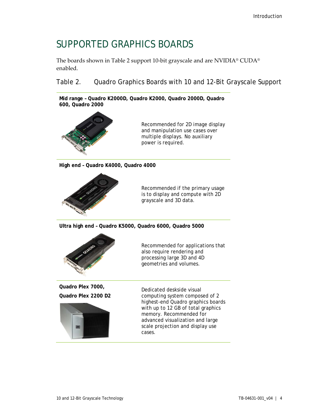### <span id="page-7-0"></span>SUPPORTED GRAPHICS BOARDS

The boards shown in Table 2 support 10-bit grayscale and are NVIDIA® CUDA® enabled.

<span id="page-7-1"></span>Table 2. Quadro Graphics Boards with 10 and 12-Bit Grayscale Support

**Mid range – Quadro K2000D, Quadro K2000, Quadro 2000D, Quadro 600, Quadro 2000**



Recommended for 2D image display and manipulation use cases over multiple displays. No auxiliary power is required.

**High end – Quadro K4000, Quadro 4000**



Recommended if the primary usage is to display and compute with 2D grayscale and 3D data.

**Ultra high end – Quadro K5000, Quadro 6000, Quadro 5000**



Recommended for applications that also require rendering and processing large 3D and 4D geometries and volumes.

**Quadro Plex 7000, Quadro Plex 2200 D2**



Dedicated deskside visual computing system composed of 2 highest-end Quadro graphics boards with up to 12 GB of total graphics memory. Recommended for advanced visualization and large scale projection and display use cases.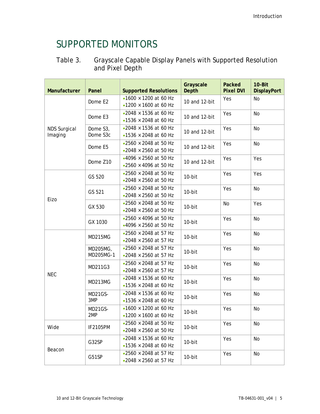# <span id="page-8-0"></span>SUPPORTED MONITORS

### <span id="page-8-1"></span>Table 3. Grayscale Capable Display Panels with Supported Resolution and Pixel Depth

| Manufacturer                   | Panel                                                                           | <b>Supported Resolutions</b>                                               | Grayscale<br><b>Depth</b> | Packed<br><b>Pixel DVI</b> | 10-Bit<br><b>DisplayPort</b> |
|--------------------------------|---------------------------------------------------------------------------------|----------------------------------------------------------------------------|---------------------------|----------------------------|------------------------------|
|                                | Dome E2                                                                         | $•1600 \times 1200$ at 60 Hz<br>•1200 $\times$ 1600 at 60 Hz               | 10 and 12-bit             | Yes                        | No                           |
|                                | $\cdot$ 2048 $\times$ 1536 at 60 Hz<br>Dome E3<br>$•1536 \times 2048$ at 60 Hz  |                                                                            | 10 and 12-bit             | Yes                        | <b>No</b>                    |
| <b>NDS Surgical</b><br>Imaging | Dome S3,<br>Dome S3c                                                            | $\cdot$ 2048 $\times$ 1536 at 60 Hz<br>•1536 $\times$ 2048 at 60 Hz        | 10 and 12-bit             | Yes                        | <b>No</b>                    |
|                                | Dome E5                                                                         | •2560 $×$ 2048 at 50 Hz<br>$\cdot$ 2048 $\times$ 2560 at 50 Hz             | 10 and 12-bit             | Yes                        | <b>No</b>                    |
|                                | $•4096 \times 2560$ at 50 Hz<br>Dome Z10<br>$\cdot$ 2560 $\times$ 4096 at 50 Hz |                                                                            | 10 and 12-bit             | Yes                        | Yes                          |
|                                | GS 520                                                                          | $\cdot$ 2560 $\times$ 2048 at 50 Hz<br>$\cdot$ 2048 $\times$ 2560 at 50 Hz | 10-bit                    | Yes                        | Yes                          |
|                                | GS 521                                                                          | $\cdot$ 2560 $\times$ 2048 at 50 Hz<br>$\cdot$ 2048 $\times$ 2560 at 50 Hz | 10-bit                    | Yes                        | <b>No</b>                    |
| Eizo                           | GX 530                                                                          | $\cdot$ 2560 $\times$ 2048 at 50 Hz<br>$\cdot$ 2048 $\times$ 2560 at 50 Hz | 10-bit                    | <b>No</b>                  | Yes                          |
|                                | GX 1030                                                                         | •2560 × 4096 at 50 Hz<br>$•4096 \times 2560$ at 50 Hz                      | 10-bit                    | Yes                        | No                           |
|                                | MD215MG                                                                         | $\cdot$ 2560 $\times$ 2048 at 57 Hz<br>$\cdot$ 2048 $\times$ 2560 at 57 Hz | 10-bit                    | Yes                        | <b>No</b>                    |
|                                | MD205MG,<br>MD205MG-1                                                           | $\cdot$ 2560 $\times$ 2048 at 57 Hz<br>•2048 $\times$ 2560 at 57 Hz        | 10-bit                    | Yes                        | <b>No</b>                    |
| <b>NEC</b>                     | MD211G3                                                                         | $\cdot$ 2560 $\times$ 2048 at 57 Hz<br>$\cdot$ 2048 $\times$ 2560 at 57 Hz | 10-bit                    | Yes                        | <b>No</b>                    |
|                                | MD213MG                                                                         | $\cdot$ 2048 $\times$ 1536 at 60 Hz<br>•1536 $\times$ 2048 at 60 Hz        | 10-bit                    | Yes                        | <b>No</b>                    |
|                                | MD21GS-<br>3MP                                                                  | •2048 $\times$ 1536 at 60 Hz<br>$•1536 \times 2048$ at 60 Hz               | $10$ -bit                 | Yes                        | <b>No</b>                    |
|                                | MD21GS-<br>2MP                                                                  | •1600 $\times$ 1200 at 60 Hz<br>$•1200 \times 1600$ at 60 Hz               | 10-bit                    | Yes                        | No                           |
| Wide                           | <b>IF2105PM</b>                                                                 | •2560 $\times$ 2048 at 50 Hz<br>•2048 $\times$ 2560 at 50 Hz               | 10-bit                    | Yes                        | No                           |
|                                | G32SP                                                                           | •2048 $\times$ 1536 at 60 Hz<br>•1536 $\times$ 2048 at 60 Hz               | 10-bit                    | Yes                        | No                           |
| Beacon                         | G51SP                                                                           | •2560 $\times$ 2048 at 57 Hz<br>$\cdot$ 2048 $\times$ 2560 at 57 Hz        | 10-bit                    | Yes                        | No                           |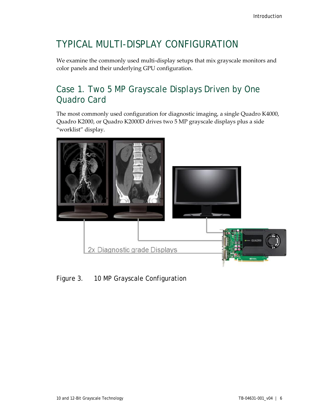## <span id="page-9-0"></span>TYPICAL MULTI-DISPLAY CONFIGURATION

We examine the commonly used multi-display setups that mix grayscale monitors and color panels and their underlying GPU configuration.

### <span id="page-9-1"></span>Case 1. Two 5 MP Grayscale Displays Driven by One Quadro Card

The most commonly used configuration for diagnostic imaging, a single Quadro K4000, Quadro K2000, or Quadro K2000D drives two 5 MP grayscale displays plus a side "worklist" display.



### <span id="page-9-2"></span>Figure 3. 10 MP Grayscale Configuration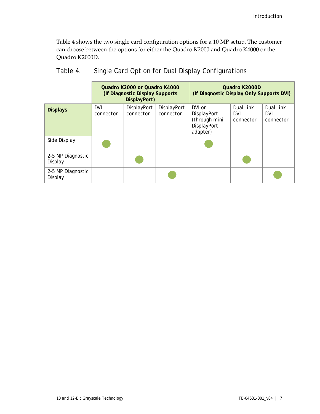Table 4 shows the two single card configuration options for a 10 MP setup. The customer can choose between the options for either the Quadro K2000 and Quadro K4000 or the Quadro K2000D.

|                              | Quadro K2000 or Quadro K4000<br>(If Diagnostic Display Supports<br>DisplayPort) |                          |                          | Quadro K2000D<br>(If Diagnostic Display Only Supports DVI)         |                                      |                                      |
|------------------------------|---------------------------------------------------------------------------------|--------------------------|--------------------------|--------------------------------------------------------------------|--------------------------------------|--------------------------------------|
| <b>Displays</b>              | <b>DVI</b><br>connector                                                         | DisplayPort<br>connector | DisplayPort<br>connector | DVI or<br>DisplayPort<br>(through mini-<br>DisplayPort<br>adapter) | Dual-link<br><b>DVI</b><br>connector | Dual-link<br><b>DVI</b><br>connector |
| Side Display                 |                                                                                 |                          |                          |                                                                    |                                      |                                      |
| 2-5 MP Diagnostic<br>Display |                                                                                 |                          |                          |                                                                    |                                      |                                      |
| 2-5 MP Diagnostic<br>Display |                                                                                 |                          |                          |                                                                    |                                      |                                      |

### <span id="page-10-0"></span>Table 4. Single Card Option for Dual Display Configurations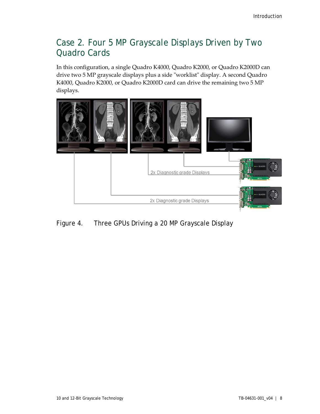### <span id="page-11-0"></span>Case 2. Four 5 MP Grayscale Displays Driven by Two Quadro Cards

In this configuration, a single Quadro K4000, Quadro K2000, or Quadro K2000D can drive two 5 MP grayscale displays plus a side "worklist" display. A second Quadro K4000, Quadro K2000, or Quadro K2000D card can drive the remaining two 5 MP displays.



<span id="page-11-1"></span>Figure 4. Three GPUs Driving a 20 MP Grayscale Display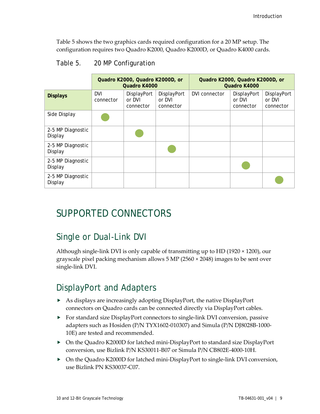Table 5 shows the two graphics cards required configuration for a 20 MP setup. The configuration requires two Quadro K2000, Quadro K2000D, or Quadro K4000 cards.

|                              | Quadro K2000, Quadro K2000D, or<br>Quadro K4000 |                                    |                                    | Quadro K2000, Quadro K2000D, or<br>Quadro K4000 |                                    |                                    |
|------------------------------|-------------------------------------------------|------------------------------------|------------------------------------|-------------------------------------------------|------------------------------------|------------------------------------|
| <b>Displays</b>              | <b>DVI</b><br>connector                         | DisplayPort<br>or DVI<br>connector | DisplayPort<br>or DVI<br>connector | DVI connector                                   | DisplayPort<br>or DVI<br>connector | DisplayPort<br>or DVI<br>connector |
| Side Display                 |                                                 |                                    |                                    |                                                 |                                    |                                    |
| 2-5 MP Diagnostic<br>Display |                                                 |                                    |                                    |                                                 |                                    |                                    |
| 2-5 MP Diagnostic<br>Display |                                                 |                                    |                                    |                                                 |                                    |                                    |
| 2-5 MP Diagnostic<br>Display |                                                 |                                    |                                    |                                                 |                                    |                                    |
| 2-5 MP Diagnostic<br>Display |                                                 |                                    |                                    |                                                 |                                    |                                    |

### <span id="page-12-3"></span>Table 5. 20 MP Configuration

### <span id="page-12-0"></span>SUPPORTED CONNECTORS

### <span id="page-12-1"></span>Single or Dual-Link DVI

Although single-link DVI is only capable of transmitting up to HD (1920 × 1200), our grayscale pixel packing mechanism allows 5 MP (2560 × 2048) images to be sent over single-link DVI.

### <span id="page-12-2"></span>DisplayPort and Adapters

- As displays are increasingly adopting DisplayPort, the native DisplayPort connectors on Quadro cards can be connected directly via DisplayPort cables.
- $\triangleright$  For standard size DisplayPort connectors to single-link DVI conversion, passive adapters such as Hosiden (P/N TYX1602-010307) and Simula (P/N DJ8028B-1000- 10E) are tested and recommended.
- ▶ On the Quadro K2000D for latched mini-DisplayPort to standard size DisplayPort conversion, use Bizlink P/N KS30011-B07 or Simula P/N CB802E-4000-10H.
- ▶ On the Quadro K2000D for latched mini-DisplayPort to single-link DVI conversion, use Bizlink PN KS30037-C07.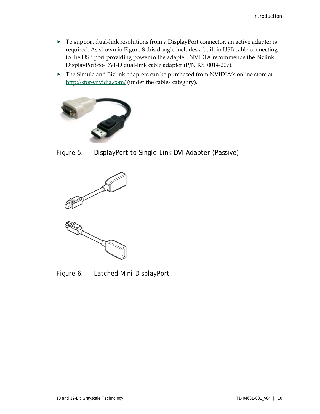- ▶ To support dual-link resolutions from a DisplayPort connector, an active adapter is required. As shown in Figure 8 this dongle includes a built in USB cable connecting to the USB port providing power to the adapter. NVIDIA recommends the Bizlink DisplayPort-to-DVI-D dual-link cable adapter (P/N KS10014-207).
- The Simula and Bizlink adapters can be purchased from NVIDIA's online store at <http://store.nvidia.com/> (under the cables category).



<span id="page-13-0"></span>Figure 5. DisplayPort to Single-Link DVI Adapter (Passive)



<span id="page-13-1"></span>Figure 6. Latched Mini-DisplayPort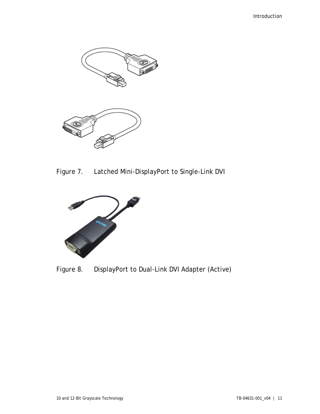

<span id="page-14-0"></span>Figure 7. Latched Mini-DisplayPort to Single-Link DVI

<span id="page-14-1"></span>

Figure 8. DisplayPort to Dual-Link DVI Adapter (Active)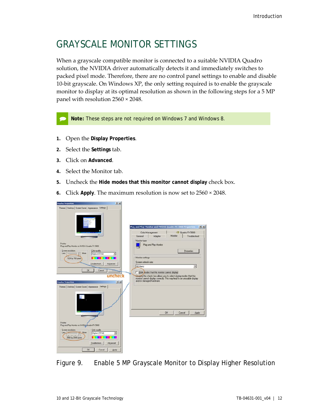## <span id="page-15-0"></span>GRAYSCALE MONITOR SETTINGS

When a grayscale compatible monitor is connected to a suitable NVIDIA Quadro solution, the NVIDIA driver automatically detects it and immediately switches to packed pixel mode. Therefore, there are no control panel settings to enable and disable 10-bit grayscale. On Windows XP, the only setting required is to enable the grayscale monitor to display at its optimal resolution as shown in the following steps for a 5 MP panel with resolution 2560 × 2048.

**Note:** These steps are not required on Windows 7 and Windows 8.

- **1.** Open the **Display Properties**.
- **2.** Select the **Settings** tab.
- **3.** Click on **Advanced**.
- **4.** Select the Monitor tab.
- **5.** Uncheck the **Hide modes that this monitor cannot display** check box.
- **6.** Click **Apply**. The maximum resolution is now set to 2560 × 2048.



<span id="page-15-1"></span>Figure 9. Enable 5 MP Grayscale Monitor to Display Higher Resolution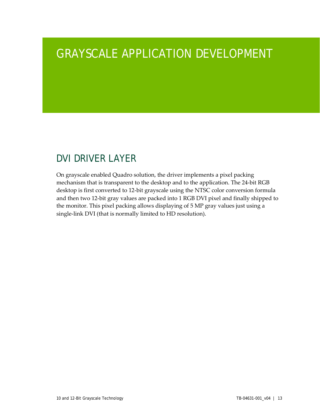# <span id="page-16-0"></span>GRAYSCALE APPLICATION DEVELOPMENT

## <span id="page-16-1"></span>DVI DRIVER LAYER

On grayscale enabled Quadro solution, the driver implements a pixel packing mechanism that is transparent to the desktop and to the application. The 24-bit RGB desktop is first converted to 12-bit grayscale using the NTSC color conversion formula and then two 12-bit gray values are packed into 1 RGB DVI pixel and finally shipped to the monitor. This pixel packing allows displaying of 5 MP gray values just using a single-link DVI (that is normally limited to HD resolution).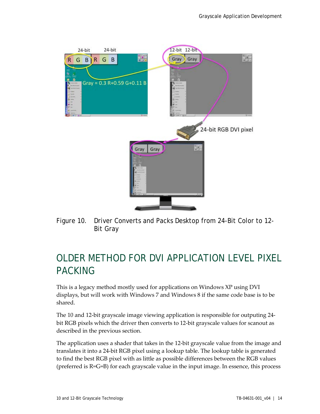

<span id="page-17-1"></span>Figure 10. Driver Converts and Packs Desktop from 24-Bit Color to 12- Bit Gray

### <span id="page-17-0"></span>OLDER METHOD FOR DVI APPLICATION LEVEL PIXEL PACKING

This is a legacy method mostly used for applications on Windows XP using DVI displays, but will work with Windows 7 and Windows 8 if the same code base is to be shared.

The 10 and 12-bit grayscale image viewing application is responsible for outputing 24 bit RGB pixels which the driver then converts to 12-bit grayscale values for scanout as described in the previous section.

The application uses a shader that takes in the 12-bit grayscale value from the image and translates it into a 24-bit RGB pixel using a lookup table. The lookup table is generated to find the best RGB pixel with as little as possible differences between the RGB values (preferred is R=G=B) for each grayscale value in the input image. In essence, this process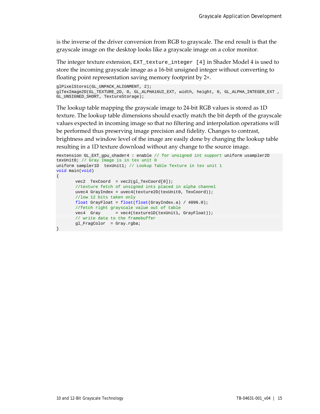is the inverse of the driver conversion from RGB to grayscale. The end result is that the grayscale image on the desktop looks like a grayscale image on a color monitor.

The integer texture extension, EXT\_texture\_integer [\[4\]](#page-30-3) in Shader Model 4 is used to store the incoming grayscale image as a 16-bit unsigned integer without converting to floating point representation saving memory footprint by 2×.

```
glPixelStorei(GL_UNPACK_ALIGNMENT, 2);
glTexImage2D(GL_TEXTURE_2D, 0, GL_ALPHA16UI_EXT, width, height, 0, GL_ALPHA_INTEGER_EXT , 
GL_UNSIGNED_SHORT, TextureStorage);
```
The lookup table mapping the grayscale image to 24-bit RGB values is stored as 1D texture. The lookup table dimensions should exactly match the bit depth of the grayscale values expected in incoming image so that no filtering and interpolation operations will be performed thus preserving image precision and fidelity. Changes to contrast, brightness and window level of the image are easily done by changing the lookup table resulting in a 1D texture download without any change to the source image.

```
#extension GL_EXT_gpu_shader4 : enable // for unsigned int support uniform usampler2D 
texUnit0; // Gray Image is in tex unit 0
uniform sampler1D texUnit1; // Lookup Table Texture in tex unit 1 
void main(void) 
\left\{ \right.vec2 TexCoord = vec2(gl_TexCoord[0]);
       //texture fetch of unsigned ints placed in alpha channel
       uvec4 GrayIndex = uvec4(texture2D(texUnit0, TexCoord)); 
       //low 12 bits taken only
      float GrayFloat = float(float(GrayIndex.a) / 4096.0); 
       //fetch right grayscale value out of table
       vec4 Gray = vec4(texture1D(texUnit1, GrayFloat));
       // write data to the framebuffer
       gl_FragColor = Gray.rgba; 
}
```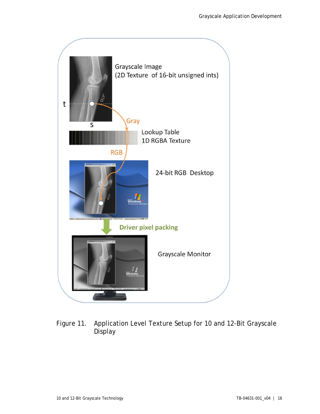

### <span id="page-19-0"></span>Figure 11. Application Level Texture Setup for 10 and 12-Bit Grayscale Display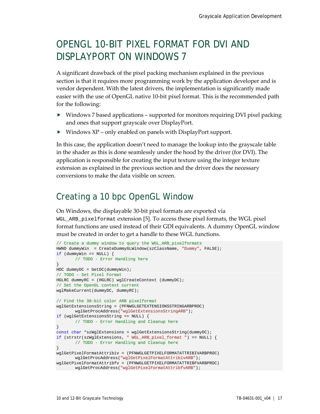## <span id="page-20-0"></span>OPENGL 10-BIT PIXEL FORMAT FOR DVI AND DISPLAYPORT ON WINDOWS 7

A significant drawback of the pixel packing mechanism explained in the previous section is that it requires more programming work by the application developer and is vendor dependent. With the latest drivers, the implementation is significantly made easier with the use of OpenGL native 10-bit pixel format. This is the recommended path for the following:

- Windows 7 based applications supported for monitors requiring DVI pixel packing and ones that support grayscale over DisplayPort.
- Windows XP only enabled on panels with DisplayPort support.

In this case, the application doesn't need to manage the lookup into the grayscale table in the shader as this is done seamlessly under the hood by the driver (for DVI). The application is responsible for creating the input texture using the integer texture extension as explained in the previous section and the driver does the necessary conversions to make the data visible on screen.

### <span id="page-20-1"></span>Creating a 10 bpc OpenGL Window

On Windows, the displayable 30-bit pixel formats are exported via WGL\_ARB\_pixelformat extension [5]. To access these pixel formats, the WGL pixel format functions are used instead of their GDI equivalents. A dummy OpenGL window must be created in order to get a handle to these WGL functions.

```
// Create a dummy window to query the WGL_ARB_pixelformats
HWND dummyWin = CreateDummyGLWindow(szClassName, "Dummy", FALSE);
if (dummyWin == NULL) {
      // TODO - Error Handling here
}
HDC dummyDC = GetDC(dummyWin);
// TODO – Set Pixel Format
HGLRC dummyRC = (HGLRC) wglCreateContext (dummyDC);
// Set the OpenGL context current
wglMakeCurrent(dummyDC, dummyRC);
// Find the 30-bit color ARB pixelformat
wglGetExtensionsString = (PFNWGLGETEXTENSIONSSTRINGARBPROC) 
     wglGetProcAddress("wglGetExtensionsStringARB");
if (wglGetExtensionsString == NULL) {
      // TODO - Error Handling and Cleanup here
}
const char *szWglExtensions = wglGetExtensionsString(dummyDC);
if (strstr(szWglExtensions, " WGL_ARB_pixel_format ") == NULL) {
      // TODO - Error Handling and Cleanup here
}
wglGetPixelFormatAttribiv = (PFNWGLGETPIXELFORMATATTRIBIVARBPROC) 
      wglGetProcAddress("wglGetPixelFormatAttribivARB");
wglGetPixelFormatAttribfv = (PFNWGLGETPIXELFORMATATTRIBFVARBPROC) 
  wglGetProcAddress("wglGetPixelFormatAttribfvARB");
```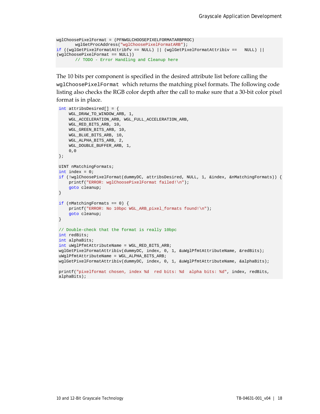```
wglChoosePixelFormat = (PFNWGLCHOOSEPIXELFORMATARBPROC) 
       wglGetProcAddress("wglChoosePixelFormatARB");
if ((wglGetPixelFormatAttribfv == NULL) || (wglGetPixelFormatAttribiv == NULL) || 
(wglChoosePixelFormat == NULL)) 
       // TODO - Error Handling and Cleanup here
```
The 10 bits per component is specified in the desired attribute list before calling the wglChoosePixelFormat which returns the matching pixel formats. The following code listing also checks the RGB color depth after the call to make sure that a 30-bit color pixel format is in place.

```
int attribsDesired[] = {
     WGL_DRAW_TO_WINDOW_ARB, 1,
     WGL_ACCELERATION_ARB, WGL_FULL_ACCELERATION_ARB,
     WGL_RED_BITS_ARB, 10,
     WGL_GREEN_BITS_ARB, 10,
     WGL_BLUE_BITS_ARB, 10,
     WGL_ALPHA_BITS_ARB, 2,
     WGL_DOUBLE_BUFFER_ARB, 1,
     0,0
};
UINT nMatchingFormats;
int index = 0;
if (!wglChoosePixelFormat(dummyDC, attribsDesired, NULL, 1, &index, &nMatchingFormats)) {
    printf("ERROR: wglChoosePixelFormat failed!\n");
     goto cleanup;
}
if (nMatchingFormats == 0) {
    printf("ERROR: No 10bpc WGL_ARB_pixel_formats found!\n");
     goto cleanup;
}
// Double-check that the format is really 10bpc 
int redBits;
int alphaBits;
int uWglPfmtAttributeName = WGL_RED_BITS_ARB;
wglGetPixelFormatAttribiv(dummyDC, index, 0, 1, &uWglPfmtAttributeName, &redBits);
uWglPfmtAttributeName = WGL_ALPHA_BITS_ARB;
wglGetPixelFormatAttribiv(dummyDC, index, 0, 1, &uWglPfmtAttributeName, &alphaBits);
printf("pixelformat chosen, index %d red bits: %d alpha bits: %d", index, redBits,
```

```
alphaBits);
```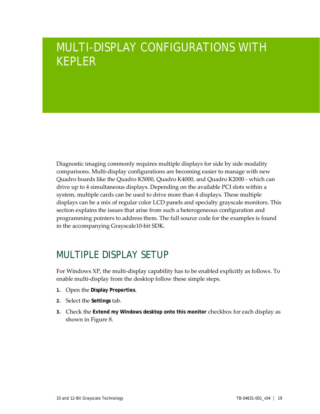# <span id="page-22-0"></span>MULTI-DISPLAY CONFIGURATIONS WITH KEPLER

Diagnostic imaging commonly requires multiple displays for side by side modality comparisons. Multi-display configurations are becoming easier to manage with new Quadro boards like the Quadro K5000, Quadro K4000, and Quadro K2000 - which can drive up to 4 simultaneous displays. Depending on the available PCI slots within a system, multiple cards can be used to drive more than 4 displays. These multiple displays can be a mix of regular color LCD panels and specialty grayscale monitors. This section explains the issues that arise from such a heterogeneous configuration and programming pointers to address them. The full source code for the examples is found in the accompanying Grayscale10-bit SDK.

### <span id="page-22-1"></span>MULTIPLE DISPLAY SETUP

For Windows XP, the multi-display capability has to be enabled explicitly as follows. To enable multi-display from the desktop follow these simple steps.

- **1.** Open the **Display Properties**.
- **2.** Select the **Settings** tab.
- **3.** Check the **Extend my Windows desktop onto this monitor** checkbox for each display as shown in Figure 8.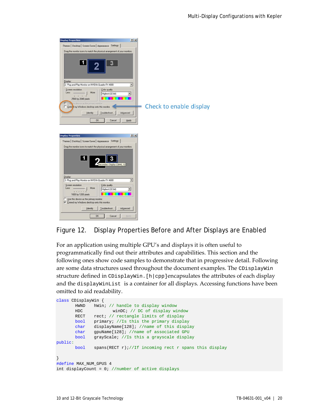| <b>Display Properties</b>                                                                                                                                                                                                                                                                                                                                                                                           | $ ?  \times$                                      |
|---------------------------------------------------------------------------------------------------------------------------------------------------------------------------------------------------------------------------------------------------------------------------------------------------------------------------------------------------------------------------------------------------------------------|---------------------------------------------------|
| Themes   Desktop   Screen Saver   Appearance Settings                                                                                                                                                                                                                                                                                                                                                               |                                                   |
| Drag the monitor icons to match the physical arrangement of your monitors.<br>Display:<br>2. Plug and Play Monitor on NVIDIA Quadro FX 4600<br>Screen resolution<br>Color quality<br>Less<br>More<br>Highest [32 bit]<br>2560 by 2048 pixels<br>Use his device as the primary monitor<br>Exter <mark>id my Windows desktop onto this monitor.</mark><br><b>Identify</b><br>Troubleshoot<br>Advanced<br>OK<br>Cancel | ٠<br>۰<br>Check to enable display<br><b>Apply</b> |
| <b>Display Properties</b>                                                                                                                                                                                                                                                                                                                                                                                           | 7x                                                |
| Themes Desktop Screen Saver Appearance Settings                                                                                                                                                                                                                                                                                                                                                                     |                                                   |
| Drag the monitor icons to match the physical arrangement of your monitors.<br>1<br>Secondary Display (3840, 0)<br>Display:                                                                                                                                                                                                                                                                                          | ٠                                                 |
| 3. Plug and Play Monitor on NVIDIA Quadro FX 4600                                                                                                                                                                                                                                                                                                                                                                   |                                                   |
| Color quality<br>Screen resolution<br>Less<br>More<br>Highest [32 bit]<br>1 1 1 1 1<br>1600 by 1200 pixels<br>Use this device as the primary monitor.<br>Extend my Windows desktop onto this monitor.<br><b>Identify</b><br>Troubleshoot<br>Advanced                                                                                                                                                                | ▼                                                 |

<span id="page-23-0"></span>

For an application using multiple GPU's and displays it is often useful to programmatically find out their attributes and capabilities. This section and the following ones show code samples to demonstrate that in progressive detail. Following are some data structures used throughout the document examples. The CDisplayWin structure defined in CDisplayWin.[h|cpp]encapsulates the attributes of each display and the displayWinList is a container for all displays. Accessing functions have been omitted to aid readability.

```
class CDisplayWin {
       HWND hWin; // handle to display window<br>HDC winDC; // DC of display wi
              winDC; // DC of display window
      RECT rect; // rectangle limits of display
      bool primary; //Is this the primary display
       char displayName[128]; //name of this display 
       char gpuName[128]; //name of associated GPU
       bool grayScale; //Is this a grayscale display
public:
       bool spans(RECT r);//If incoming rect r spans this display
}
#define MAX_NUM_GPUS 4
int displayCount = 0; //number of active displays
```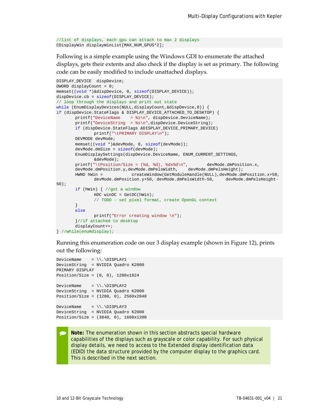```
//list of displays, each gpu can attach to max 2 displays
CDisplayWin displayWinList[MAX_NUM_GPUS*2];
```
Following is a simple example using the Windows GDI to enumerate the attached displays, gets their extents and also check if the display is set as primary. The following code can be easily modified to include unattached displays.

```
DISPLAY_DEVICE dispDevice;
DWORD displayCount = 0;
memset((void *)&dispDevice, 0, sizeof(DISPLAY_DEVICE));
dispDevice.cb = sizeof(DISPLAY_DEVICE);
// loop through the displays and print out state
while (EnumDisplayDevices(NULL, displayCount, \& dispDevice, 0)) {
if (dispDevice.StateFlags & DISPLAY_DEVICE_ATTACHED_TO_DESKTOP) {
       printf("DeviceName = %s\n", dispDevice.DeviceName);
       printf("DeviceString = %s\n",dispDevice.DeviceString);
       if (dispDevice.StateFlags &DISPLAY_DEVICE_PRIMARY_DEVICE)
             printf("\tPRIMARY DISPLAY\n");
      DEVMODE devMode;
       memset((void *)&devMode, 0, sizeof(devMode));
       devMode.dmSize = sizeof(devMode);
       EnumDisplaySettings(dispDevice.DeviceName, ENUM_CURRENT_SETTINGS, 
              &devMode);
       printf("\tPosition/Size = (%d, %d), %dx%d\n", devMode.dmPosition.x, 
       devMode.dmPosition.y,devMode.dmPelsWidth, devMode.dmPelsHeight);
       HWND hWin = createWindow(GetModuleHandle(NULL),devMode.dmPosition.x+50, 
              devMode.dmPosition.y+50, devMode.dmPelsWidth-50, devMode.dmPelsHeight-
50);
       if (hWin) { //got a window
              HDC winDC = GetDC(hWin);
              // TODO - set pixel format, create OpenGL context
       }
       else
              printf("Error creating window \n");
       }//if attached to desktop
       displayCount++;
} //while(enumdisplay);
```
Running this enumeration code on our 3 display example (shown in Figure 12), prints out the following:

```
DeviceName = \\.\DISPLAY1
DeviceString = NVIDIA Quadro K2000
PRIMARY DISPLAY
Position/Size = (0, 0), 1280x1024
DeviceName = \\\.\DISELAY2DeviceString = NVIDIA Quadro K2000
Position/Size = (1280, 0), 2560x2048
DeviceName = \backslash\backslashDISPLAY3
DeviceString = NVIDIA Quadro K2000
Position/Size = (3840, 0), 1600x1200
```
 **Note:** The enumeration shown in this section abstracts special hardware capabilities of the displays such as grayscale or color capability. For such physical display details, we need to access to the Extended display identification data (EDID) the data structure provided by the computer display to the graphics card. This is described in the next section.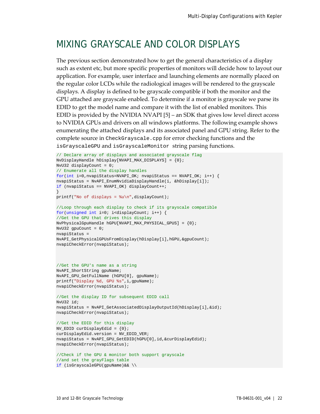### <span id="page-25-0"></span>MIXING GRAYSCALE AND COLOR DISPLAYS

The previous section demonstrated how to get the general characteristics of a display such as extent etc, but more specific properties of monitors will decide how to layout our application. For example, user interface and launching elements are normally placed on the regular color LCDs while the radiological images will be rendered to the grayscale displays. A display is defined to be grayscale compatible if both the monitor and the GPU attached are grayscale enabled. To determine if a monitor is grayscale we parse its EDID to get the model name and compare it with the list of enabled monitors. This EDID is provided by the NVIDIA NVAP[I \[5\]](#page-30-4) – an SDK that gives low level direct access to NVIDIA GPUs and drivers on all windows platforms. The following example shows enumerating the attached displays and its associated panel and GPU string. Refer to the complete source in CheckGrayscale.cpp for error checking functions and the isGrayscaleGPU and isGrayscaleMonitor string parsing functions.

```
// Declare array of displays and associated grayscale flag
NvDisplayHandle hDisplay[NVAPI_MAX_DISPLAYS] = {0};
NvU32 displayCount = 0;
// Enumerate all the display handles
for(int i=0,nvapiStatus=NVAPI_OK; nvapiStatus == NVAPI_OK; i++) {
nvapiStatus = NvAPI_EnumNvidiaDisplayHandle(i, &hDisplay[i]);
if (nvapiStatus == NVAPI_OK) displayCount++;
}
printf("No of displays = \nu \in \{1, 2, \ldots\}//Loop through each display to check if its grayscale compatible
for(unsigned int i=0; i<displayCount; i++) {
//Get the GPU that drives this display
NvPhysicalGpuHandle hGPU[NVAPI_MAX_PHYSICAL_GPUS] = {0}; 
NvU32 gpuCount = 0;nvapiStatus = 
NvAPI_GetPhysicalGPUsFromDisplay(hDisplay[i],hGPU, &qpuCount);
nvapiCheckError(nvapiStatus);
```

```
//Get the GPU's name as a string
NvAPI_ShortString gpuName;
NvAPI_GPU_GetFullName (hGPU[0], gpuName);
printf("Display %d, GPU %s",i,gpuName);
nvapiCheckError(nvapiStatus);
```

```
//Get the display ID for subsequent EDID call
NvU32 id;
nvapiStatus = NvAPI_GetAssociatedDisplayOutputId(hDisplay[i],&id);
nvapiCheckError(nvapiStatus);
```

```
//Get the EDID for this display
NV_EDID curDisplayEdid = {0};
curDisplayEdid.version = NV_EDID_VER;
nvapiStatus = NvAPI_GPU_GetEDID(hGPU[0],id,&curDisplayEdid);
nvapiCheckError(nvapiStatus);
```

```
//Check if the GPU & monitor both support grayscale
//and set the grayFlags table
if (isGrayscaleGPU(gpuName)&& \\
```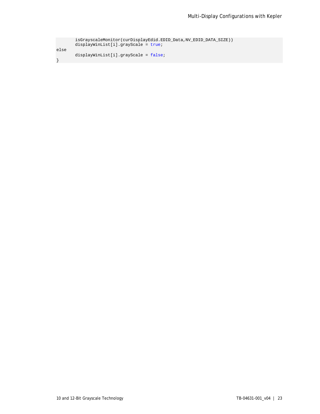| isGrayscaleMonitor(curDisplayEdid.EDID_Data,NV_EDID_DATA_SIZE)) |
|-----------------------------------------------------------------|
| $displayWithList[i].grayScale = true;$                          |
|                                                                 |
| $displayWithList[i].grayScale = false;$                         |
|                                                                 |
|                                                                 |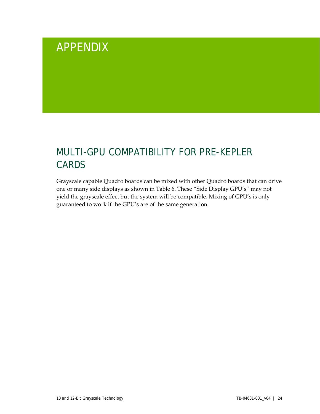# <span id="page-27-0"></span>APPENDIX

# <span id="page-27-1"></span>MULTI-GPU COMPATIBILITY FOR PRE-KEPLER CARDS

Grayscale capable Quadro boards can be mixed with other Quadro boards that can drive one or many side displays as shown in Table 6. These "Side Display GPU's" may not yield the grayscale effect but the system will be compatible. Mixing of GPU's is only guaranteed to work if the GPU's are of the same generation.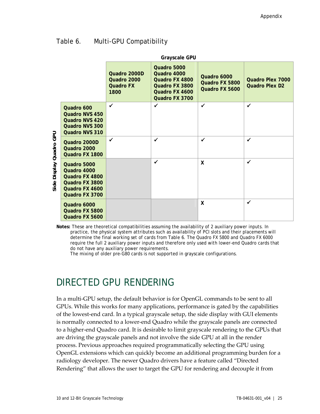### <span id="page-28-1"></span>Table 6. Multi-GPU Compatibility

|                                      | <b>Grayscale GPU</b>                                                                               |                                                         |                                                                                                    |                                                 |                                           |  |  |
|--------------------------------------|----------------------------------------------------------------------------------------------------|---------------------------------------------------------|----------------------------------------------------------------------------------------------------|-------------------------------------------------|-------------------------------------------|--|--|
|                                      |                                                                                                    | Quadro 2000D<br>Quadro 2000<br><b>Quadro FX</b><br>1800 | Quadro 5000<br>Quadro 4000<br>Quadro FX 4800<br>Quadro FX 3800<br>Quadro FX 4600<br>Quadro FX 3700 | Quadro 6000<br>Quadro FX 5800<br>Quadro FX 5600 | Quadro Plex 7000<br><b>Quadro Plex D2</b> |  |  |
|                                      | Quadro 600<br>Quadro NVS 450<br><b>Quadro NVS 420</b><br>Quadro NVS 300<br>Quadro NVS 310          | $\checkmark$                                            | ✓                                                                                                  | $\checkmark$                                    | $\checkmark$                              |  |  |
| Quadro GPU<br><b>Display</b><br>Side | Quadro 2000D<br>Quadro 2000<br>Quadro FX 1800                                                      | ✓                                                       | ✓                                                                                                  | $\checkmark$                                    | $\checkmark$                              |  |  |
|                                      | Quadro 5000<br>Quadro 4000<br>Quadro FX 4800<br>Quadro FX 3800<br>Quadro FX 4600<br>Quadro FX 3700 |                                                         | $\checkmark$                                                                                       | X                                               | $\checkmark$                              |  |  |
|                                      | Quadro 6000<br>Quadro FX 5800<br>Quadro FX 5600                                                    |                                                         |                                                                                                    | X                                               | ✓                                         |  |  |

**Notes:** These are theoretical compatibilities assuming the availability of 2 auxiliary power inputs. In practice, the physical system attributes such as availability of PCI slots and their placements will determine the final working set of cards from Table 6. The Quadro FX 5800 and Quadro FX 6000 require the full 2 auxiliary power inputs and therefore only used with lower-end Quadro cards that do not have any auxiliary power requirements.

The mixing of older pre-G80 cards is not supported in grayscale configurations.

### <span id="page-28-0"></span>DIRECTED GPU RENDERING

In a multi-GPU setup, the default behavior is for OpenGL commands to be sent to all GPUs. While this works for many applications, performance is gated by the capabilities of the lowest-end card. In a typical grayscale setup, the side display with GUI elements is normally connected to a lower-end Quadro while the grayscale panels are connected to a higher-end Quadro card. It is desirable to limit grayscale rendering to the GPUs that are driving the grayscale panels and not involve the side GPU at all in the render process. Previous approaches required programmatically selecting the GPU using OpenGL extensions which can quickly become an additional programming burden for a radiology developer. The newer Quadro drivers have a feature called "Directed Rendering" that allows the user to target the GPU for rendering and decouple it from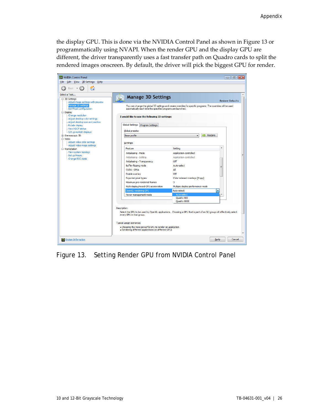the display GPU. This is done via the NVIDIA Control Panel as shown in Figure 13 or programmatically using NVAPI. When the render GPU and the display GPU are different, the driver transparently uses a fast transfer path on Quadro cards to split the rendered images onscreen. By default, the driver will pick the biggest GPU for render.

<span id="page-29-0"></span>

Figure 13. Setting Render GPU from NVIDIA Control Panel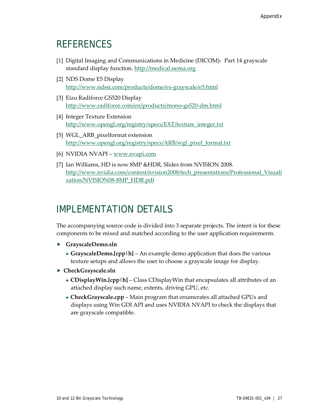### <span id="page-30-0"></span>**REFERENCES**

- <span id="page-30-2"></span>[1] Digital Imaging and Communications in Medicine (DICOM)- Part 14 grayscale standard display function. [http://medical.nema.org](http://medical.nema.org/)
- [2] NDS Dome E5 Display <http://www.ndssi.com/products/dome/ex-grayscale/e5.html>
- [3] Eizo Radiforce GS520 Display <http://www.radiforce.com/en/products/mono-gs520-dm.html>
- <span id="page-30-3"></span>[4] Integer Texture Extension [http://www.opengl.org/registry/specs/EXT/texture\\_integer.txt](http://www.opengl.org/registry/specs/EXT/texture_integer.txt)
- <span id="page-30-4"></span>[5] WGL\_ARB\_pixelformat extension [http://www.opengl.org/registry/specs/ARB/wgl\\_pixel\\_format.txt](http://www.opengl.org/registry/specs/ARB/wgl_pixel_format.txt)
- [6] NVIDIA NVAPI [www.nvapi.com](http://www.nvapi.com/)
- [7] Ian Williams, HD is now 8MP &HDR, Slides from NVISION 2008. [http://www.nvidia.com/content/nvision2008/tech\\_presentations/Professional\\_Visuali](http://www.nvidia.com/content/nvision2008/tech_presentations/Professional_Visualization/NVISION08-8MP_HDR.pdf) [zation/NVISION08-8MP\\_HDR.pdf](http://www.nvidia.com/content/nvision2008/tech_presentations/Professional_Visualization/NVISION08-8MP_HDR.pdf)

### <span id="page-30-1"></span>IMPLEMENTATION DETAILS

The accompanying source code is divided into 3 separate projects. The intent is for these components to be mixed and matched according to the user application requirements.

- **GrayscaleDemo.sln**
	- **GrayscaleDemo.** [cpp | h] An example demo application that does the various texture setups and allows the user to choose a grayscale image for display.
- **CheckGrayscale.sln**
	- **CDisplayWin.[cpp|h]**  Class CDisplayWin that encapsulates all attributes of an attached display such name, extents, driving GPU, etc.
	- **CheckGrayscale.cpp**  Main program that enumerates all attached GPUs and displays using Win GDI API and uses NVIDIA NVAPI to check the displays that are grayscale compatible.